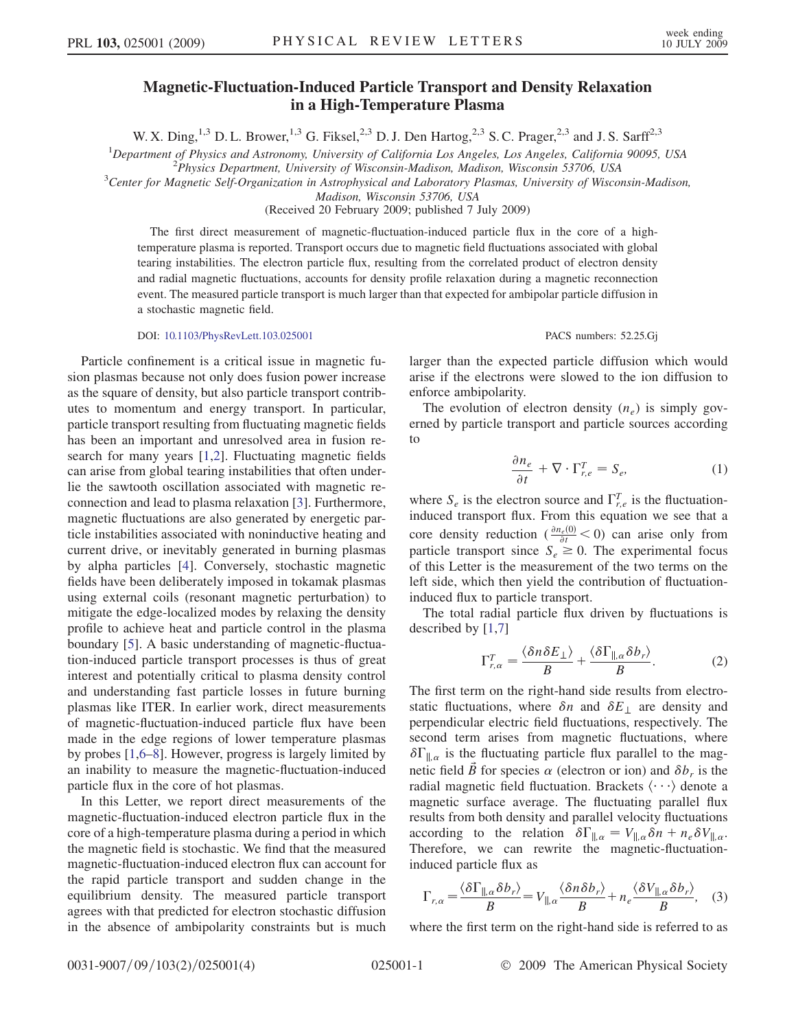## Magnetic-Fluctuation-Induced Particle Transport and Density Relaxation in a High-Temperature Plasma

W. X. Ding,<sup>1,3</sup> D. L. Brower,<sup>1,3</sup> G. Fiksel,<sup>2,3</sup> D. J. Den Hartog,<sup>2,3</sup> S. C. Prager,<sup>2,3</sup> and J. S. Sarff<sup>2,3</sup>

<sup>1</sup>Department of Physics and Astronomy, University of California Los Angeles, Los Angeles, California 90095, USA<br><sup>2</sup>Physics Department University of Wisconsin Madison, Madison Wisconsin 53706, USA

 $P<sup>2</sup> Physics Department, University of Wisconsin-Madison, Madison, Wisconsin 53706, USA$ 

 ${}^{3}$ Center for Magnetic Self-Organization in Astrophysical and Laboratory Plasmas, University of Wisconsin-Madison,

Madison, Wisconsin 53706, USA

(Received 20 February 2009; published 7 July 2009)

The first direct measurement of magnetic-fluctuation-induced particle flux in the core of a hightemperature plasma is reported. Transport occurs due to magnetic field fluctuations associated with global tearing instabilities. The electron particle flux, resulting from the correlated product of electron density and radial magnetic fluctuations, accounts for density profile relaxation during a magnetic reconnection event. The measured particle transport is much larger than that expected for ambipolar particle diffusion in a stochastic magnetic field.

DOI: [10.1103/PhysRevLett.103.025001](http://dx.doi.org/10.1103/PhysRevLett.103.025001) PACS numbers: 52.25.Gj

Particle confinement is a critical issue in magnetic fusion plasmas because not only does fusion power increase as the square of density, but also particle transport contributes to momentum and energy transport. In particular, particle transport resulting from fluctuating magnetic fields has been an important and unresolved area in fusion research for many years [\[1,](#page-3-0)[2](#page-3-1)]. Fluctuating magnetic fields can arise from global tearing instabilities that often underlie the sawtooth oscillation associated with magnetic reconnection and lead to plasma relaxation [\[3\]](#page-3-2). Furthermore, magnetic fluctuations are also generated by energetic particle instabilities associated with noninductive heating and current drive, or inevitably generated in burning plasmas by alpha particles [\[4\]](#page-3-3). Conversely, stochastic magnetic fields have been deliberately imposed in tokamak plasmas using external coils (resonant magnetic perturbation) to mitigate the edge-localized modes by relaxing the density profile to achieve heat and particle control in the plasma boundary [\[5](#page-3-4)]. A basic understanding of magnetic-fluctuation-induced particle transport processes is thus of great interest and potentially critical to plasma density control and understanding fast particle losses in future burning plasmas like ITER. In earlier work, direct measurements of magnetic-fluctuation-induced particle flux have been made in the edge regions of lower temperature plasmas by probes [\[1](#page-3-0)[,6](#page-3-5)–[8\]](#page-3-6). However, progress is largely limited by an inability to measure the magnetic-fluctuation-induced particle flux in the core of hot plasmas.

In this Letter, we report direct measurements of the magnetic-fluctuation-induced electron particle flux in the core of a high-temperature plasma during a period in which the magnetic field is stochastic. We find that the measured magnetic-fluctuation-induced electron flux can account for the rapid particle transport and sudden change in the equilibrium density. The measured particle transport agrees with that predicted for electron stochastic diffusion in the absence of ambipolarity constraints but is much

larger than the expected particle diffusion which would arise if the electrons were slowed to the ion diffusion to enforce ambipolarity.

<span id="page-0-1"></span>The evolution of electron density  $(n_e)$  is simply governed by particle transport and particle sources according to

$$
\frac{\partial n_e}{\partial t} + \nabla \cdot \Gamma_{r,e}^T = S_e, \tag{1}
$$

where  $S_e$  is the electron source and  $\Gamma_{r,e}^T$  is the fluctuationinduced transport flux. From this equation we see that a core density reduction  $\left(\frac{\partial n_e(0)}{\partial t} \le 0\right)$  can arise only from particle transport since  $S_e \ge 0$ . The experimental focus of this Letter is the measurement of the two terms on the left side, which then yield the contribution of fluctuationinduced flux to particle transport.

<span id="page-0-0"></span>The total radial particle flux driven by fluctuations is described by [\[1](#page-3-0),[7](#page-3-7)]

$$
\Gamma_{r,\alpha}^T = \frac{\langle \delta n \delta E_{\perp} \rangle}{B} + \frac{\langle \delta \Gamma_{\parallel,\alpha} \delta b_r \rangle}{B}.
$$
 (2)

The first term on the right-hand side results from electrostatic fluctuations, where  $\delta n$  and  $\delta E_{\perp}$  are density and perpendicular electric field fluctuations, respectively. The second term arises from magnetic fluctuations, where  $\delta\Gamma_{\parallel,\alpha}$  is the fluctuating particle flux parallel to the magnetic field B for species  $\alpha$  (electron or ion) and  $\delta b_r$  is the radial magnetic field fluctuation. Brackets  $\langle \cdots \rangle$  denote a magnetic surface average. The fluctuating parallel flux results from both density and parallel velocity fluctuations according to the relation  $\delta\Gamma_{\parallel,\alpha} = V_{\parallel,\alpha}\delta n + n_e\delta V_{\parallel,\alpha}$ . Therefore, we can rewrite the magnetic-fluctuationinduced particle flux as

<span id="page-0-2"></span>
$$
\Gamma_{r,\alpha} = \frac{\langle \delta \Gamma_{\parallel,\alpha} \delta b_r \rangle}{B} = V_{\parallel,\alpha} \frac{\langle \delta n \delta b_r \rangle}{B} + n_e \frac{\langle \delta V_{\parallel,\alpha} \delta b_r \rangle}{B}, \quad (3)
$$

where the first term on the right-hand side is referred to as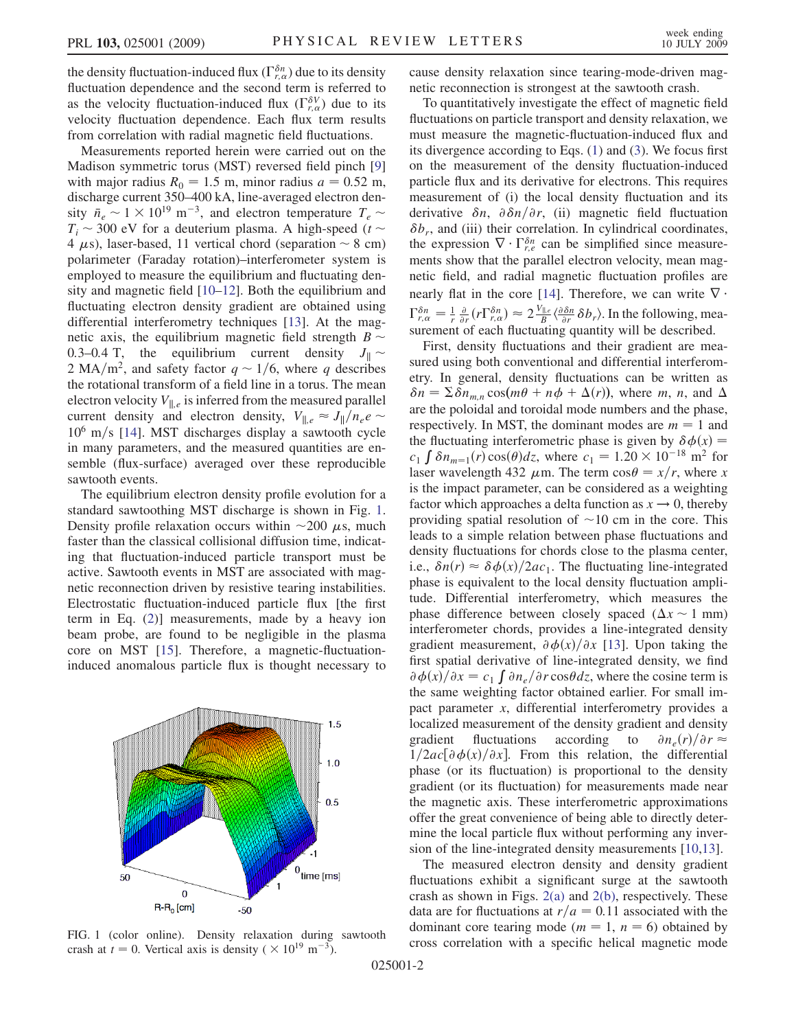the density fluctuation-induced flux  $(\Gamma_{r,\alpha}^{\delta n})$  due to its density fluctuation dependence and the second term is referred to as the velocity fluctuation-induced flux  $(\Gamma_{r,\alpha}^{\delta V})$  due to its velocity fluctuation dependence. Each flux term results from correlation with radial magnetic field fluctuations.

Measurements reported herein were carried out on the Madison symmetric torus (MST) reversed field pinch [\[9\]](#page-3-8) with major radius  $R_0 = 1.5$  m, minor radius  $a = 0.52$  m, discharge current 350–400 kA, line-averaged electron density  $\bar{n}_e \sim 1 \times 10^{19} \text{ m}^{-3}$ , and electron temperature  $T_e \sim$  $T_i \sim 300$  eV for a deuterium plasma. A high-speed (t  $\sim$ 4  $\mu$ s), laser-based, 11 vertical chord (separation  $\sim$  8 cm) polarimeter (Faraday rotation)–interferometer system is employed to measure the equilibrium and fluctuating density and magnetic field [\[10–](#page-3-9)[12](#page-3-10)]. Both the equilibrium and fluctuating electron density gradient are obtained using differential interferometry techniques [\[13\]](#page-3-11). At the magnetic axis, the equilibrium magnetic field strength  $B \sim$ 0.3–0.4 T, the equilibrium current density  $J_{\parallel} \sim$ 2 MA/m<sup>2</sup>, and safety factor  $q \sim 1/6$ , where q describes the rotational transform of a field line in a torus. The mean electron velocity  $V_{\parallel,e}$  is inferred from the measured parallel current density and electron density,  $V_{\parallel,e} \approx J_{\parallel}/n_e e$  $10^6$  m/s [\[14\]](#page-3-12). MST discharges display a sawtooth cycle in many parameters, and the measured quantities are ensemble (flux-surface) averaged over these reproducible sawtooth events.

The equilibrium electron density profile evolution for a standard sawtoothing MST discharge is shown in Fig. [1](#page-1-0). Density profile relaxation occurs within  $\sim$ 200  $\mu$ s, much faster than the classical collisional diffusion time, indicating that fluctuation-induced particle transport must be active. Sawtooth events in MST are associated with magnetic reconnection driven by resistive tearing instabilities. Electrostatic fluctuation-induced particle flux [the first term in Eq. [\(2\)](#page-0-0)] measurements, made by a heavy ion beam probe, are found to be negligible in the plasma core on MST [\[15\]](#page-3-13). Therefore, a magnetic-fluctuationinduced anomalous particle flux is thought necessary to

<span id="page-1-0"></span>

crash at  $t = 0$ . Vertical axis is density (  $\times 10^{19}$  m<sup>-3</sup>).

025001-2

cause density relaxation since tearing-mode-driven magnetic reconnection is strongest at the sawtooth crash.

To quantitatively investigate the effect of magnetic field fluctuations on particle transport and density relaxation, we must measure the magnetic-fluctuation-induced flux and its divergence according to Eqs. [\(1](#page-0-1)) and ([3](#page-0-2)). We focus first on the measurement of the density fluctuation-induced particle flux and its derivative for electrons. This requires measurement of (i) the local density fluctuation and its derivative  $\delta n$ ,  $\partial \delta n/\partial r$ , (ii) magnetic field fluctuation  $\delta b_r$ , and (iii) their correlation. In cylindrical coordinates, the expression  $\nabla \cdot \Gamma_{r,e}^{\delta n}$  can be simplified since measurements show that the parallel electron velocity, mean magnetic field, and radial magnetic fluctuation profiles are nearly flat in the core [\[14\]](#page-3-12). Therefore, we can write  $\nabla \cdot$  $\Gamma_{r,\alpha}^{\delta n} = \frac{1}{r} \frac{\partial}{\partial r} (r \Gamma_{r,\alpha}^{\delta n}) \approx 2 \frac{V_{\parallel,e}}{B} \langle \frac{\partial \delta n}{\partial r} \delta b_r \rangle$ . In the following, measurement of each fluctuating quantity will be described.

First, density fluctuations and their gradient are measured using both conventional and differential interferometry. In general, density fluctuations can be written as  $\delta n = \sum \delta n_{m,n} \cos(m\theta + n\phi + \Delta(r))$ , where m, n, and  $\Delta$ are the poloidal and toroidal mode numbers and the phase, respectively. In MST, the dominant modes are  $m = 1$  and the fluctuating interferometric phase is given by  $\delta \phi(x) =$  $c_1 \int \delta n_{m=1}(r) \cos(\theta) dz$ , where  $c_1 = 1.20 \times 10^{-18}$  m<sup>2</sup> for laser wavelength 432  $\mu$ m. The term cos $\theta = x/r$ , where x is the impact parameter, can be considered as a weighting factor which approaches a delta function as  $x \to 0$ , thereby providing spatial resolution of  $\sim$ 10 cm in the core. This leads to a simple relation between phase fluctuations and density fluctuations for chords close to the plasma center, i.e.,  $\delta n(r) \approx \delta \phi(x)/2ac_1$ . The fluctuating line-integrated phase is equivalent to the local density fluctuation amplitude. Differential interferometry, which measures the phase difference between closely spaced ( $\Delta x \sim 1$  mm) interferometer chords, provides a line-integrated density gradient measurement,  $\partial \phi(x)/\partial x$  [\[13\]](#page-3-11). Upon taking the first spatial derivative of line-integrated density, we find  $\partial \phi(x) / \partial x = c_1 \int \partial n_e / \partial r \cos \theta dz$ , where the cosine term is the same weighting factor obtained earlier. For small impact parameter x, differential interferometry provides a localized measurement of the density gradient and density gradient fluctuations according to  $\partial n_e(r)/\partial r \approx$  $1/2ac[\partial \phi(x)/\partial x]$ . From this relation, the differential phase (or its fluctuation) is proportional to the density gradient (or its fluctuation) for measurements made near the magnetic axis. These interferometric approximations offer the great convenience of being able to directly determine the local particle flux without performing any inversion of the line-integrated density measurements [\[10,](#page-3-9)[13\]](#page-3-11).

The measured electron density and density gradient fluctuations exhibit a significant surge at the sawtooth crash as shown in Figs. [2\(a\)](#page-2-0) and [2\(b\),](#page-2-0) respectively. These data are for fluctuations at  $r/a = 0.11$  associated with the dominant core tearing mode ( $m = 1$ ,  $n = 6$ ) obtained by FIG. 1 (color online). Density relaxation during sawtooth cross correlation with a specific helical magnetic mode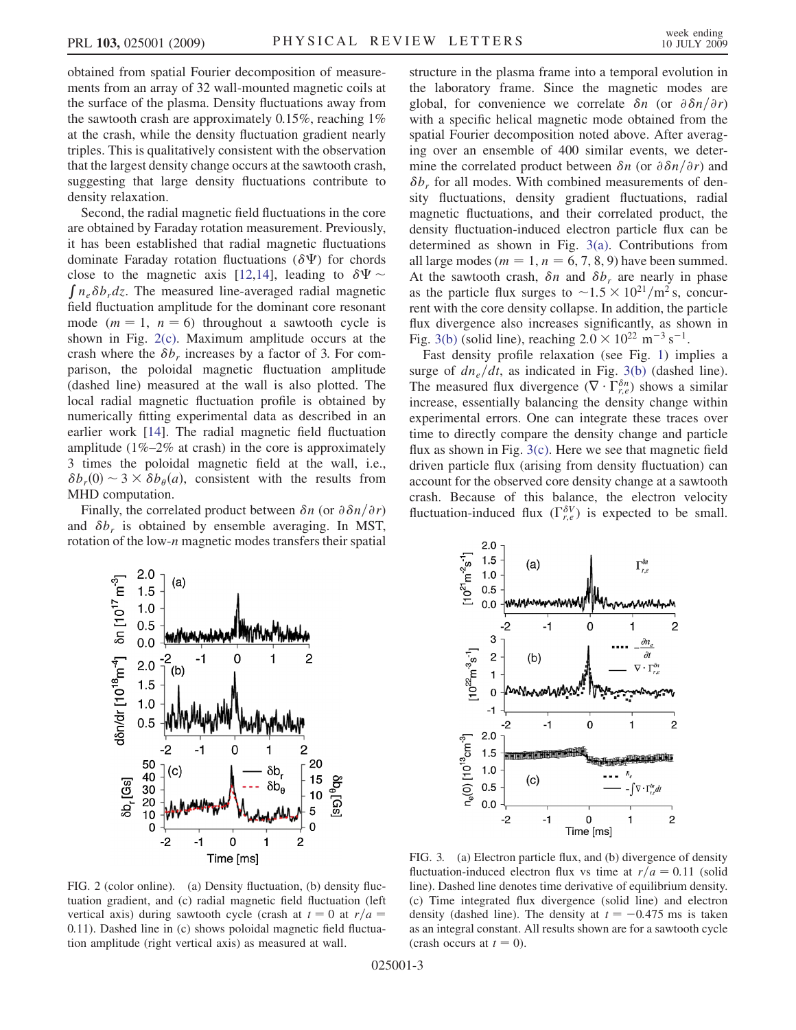obtained from spatial Fourier decomposition of measurements from an array of 32 wall-mounted magnetic coils at the surface of the plasma. Density fluctuations away from the sawtooth crash are approximately 0.15%, reaching 1% at the crash, while the density fluctuation gradient nearly triples. This is qualitatively consistent with the observation that the largest density change occurs at the sawtooth crash, suggesting that large density fluctuations contribute to density relaxation.

Second, the radial magnetic field fluctuations in the core are obtained by Faraday rotation measurement. Previously, it has been established that radial magnetic fluctuations dominate Faraday rotation fluctuations ( $\delta \Psi$ ) for chords close to the magnetic axis [[12](#page-3-10),[14](#page-3-12)], leading to  $\delta \Psi \sim \int n_e \delta b_r dz$ . The measured line-averaged radial magnetic field fluctuation amplitude for the dominant core resonant mode ( $m = 1$ ,  $n = 6$ ) throughout a sawtooth cycle is shown in Fig. [2\(c\).](#page-2-0) Maximum amplitude occurs at the crash where the  $\delta b_r$  increases by a factor of 3. For comparison, the poloidal magnetic fluctuation amplitude (dashed line) measured at the wall is also plotted. The local radial magnetic fluctuation profile is obtained by numerically fitting experimental data as described in an earlier work [[14](#page-3-12)]. The radial magnetic field fluctuation amplitude  $(1\% - 2\%$  at crash) in the core is approximately 3 times the poloidal magnetic field at the wall, i.e.,  $\delta b_r(0) \sim 3 \times \delta b_\theta(a)$ , consistent with the results from MHD computation.

Finally, the correlated product between  $\delta n$  (or  $\partial \delta n/\partial r$ ) and  $\delta b_r$  is obtained by ensemble averaging. In MST, rotation of the low- $n$  magnetic modes transfers their spatial structure in the plasma frame into a temporal evolution in the laboratory frame. Since the magnetic modes are global, for convenience we correlate  $\delta n$  (or  $\partial \delta n/\partial r$ ) with a specific helical magnetic mode obtained from the spatial Fourier decomposition noted above. After averaging over an ensemble of 400 similar events, we determine the correlated product between  $\delta n$  (or  $\partial \delta n/\partial r$ ) and  $\delta b_r$  for all modes. With combined measurements of density fluctuations, density gradient fluctuations, radial magnetic fluctuations, and their correlated product, the density fluctuation-induced electron particle flux can be determined as shown in Fig. [3\(a\)](#page-2-1). Contributions from all large modes ( $m = 1$ ,  $n = 6, 7, 8, 9$ ) have been summed. At the sawtooth crash,  $\delta n$  and  $\delta b_r$  are nearly in phase as the particle flux surges to  $\sim$  1.5  $\times$  10<sup>21</sup>/m<sup>2</sup> s, concurrent with the core density collapse. In addition, the particle flux divergence also increases significantly, as shown in Fig. [3\(b\)](#page-2-1) (solid line), reaching  $2.0 \times 10^{22}$  m<sup>-3</sup> s<sup>-1</sup>.

Fast density profile relaxation (see Fig. [1\)](#page-1-0) implies a surge of  $dn_e/dt$ , as indicated in Fig. [3\(b\)](#page-2-1) (dashed line). The measured flux divergence  $(\nabla \cdot \Gamma^{\delta n}_{r,e})$  shows a similar increase, essentially balancing the density change within experimental errors. One can integrate these traces over time to directly compare the density change and particle flux as shown in Fig.  $3(c)$ . Here we see that magnetic field driven particle flux (arising from density fluctuation) can account for the observed core density change at a sawtooth crash. Because of this balance, the electron velocity fluctuation-induced flux  $(\Gamma_{r,e}^{\delta V})$  is expected to be small.





<span id="page-2-0"></span>FIG. 2 (color online). (a) Density fluctuation, (b) density fluctuation gradient, and (c) radial magnetic field fluctuation (left vertical axis) during sawtooth cycle (crash at  $t = 0$  at  $r/a =$ 0:11). Dashed line in (c) shows poloidal magnetic field fluctuation amplitude (right vertical axis) as measured at wall.

<span id="page-2-1"></span>FIG. 3. (a) Electron particle flux, and (b) divergence of density fluctuation-induced electron flux vs time at  $r/a = 0.11$  (solid line). Dashed line denotes time derivative of equilibrium density. (c) Time integrated flux divergence (solid line) and electron density (dashed line). The density at  $t = -0.475$  ms is taken as an integral constant. All results shown are for a sawtooth cycle (crash occurs at  $t = 0$ ).